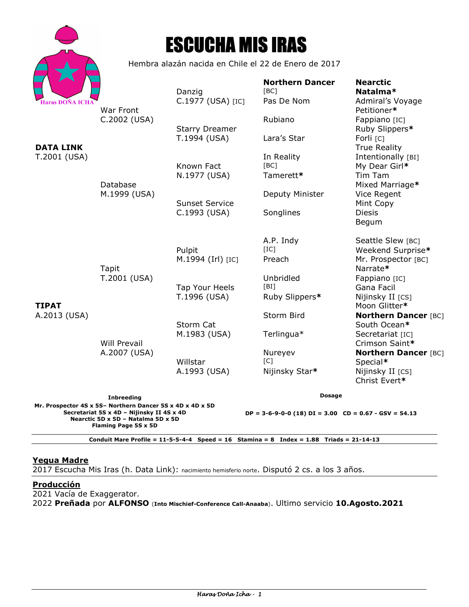

# ESCUCHA MIS IRAS

Hembra alazán nacida en Chile el 22 de Enero de 2017

| <b>Haras DOÑA ICHA</b>                                                                                  |                                              | Danzig<br>C.1977 (USA) [IC]           | <b>Northern Dancer</b><br>[BC]<br>Pas De Nom                | <b>Nearctic</b><br>Natalma*<br>Admiral's Voyage                              |
|---------------------------------------------------------------------------------------------------------|----------------------------------------------|---------------------------------------|-------------------------------------------------------------|------------------------------------------------------------------------------|
|                                                                                                         | War Front<br>C.2002 (USA)                    | <b>Starry Dreamer</b>                 | Rubiano                                                     | Petitioner*<br>Fappiano [IC]<br>Ruby Slippers*                               |
| <b>DATA LINK</b><br>T.2001 (USA)                                                                        | Database<br>M.1999 (USA)                     | T.1994 (USA)                          | Lara's Star                                                 | Forli [C]<br><b>True Reality</b>                                             |
|                                                                                                         |                                              | Known Fact                            | In Reality<br>[BC]<br>Tamerett*                             | Intentionally [BI]<br>My Dear Girl*<br>Tim Tam                               |
|                                                                                                         |                                              | N.1977 (USA)                          | Deputy Minister                                             | Mixed Marriage*<br>Vice Regent                                               |
|                                                                                                         |                                              | <b>Sunset Service</b><br>C.1993 (USA) | Songlines                                                   | Mint Copy<br><b>Diesis</b>                                                   |
| <b>TIPAT</b><br>A.2013 (USA)                                                                            |                                              |                                       |                                                             | Begum                                                                        |
|                                                                                                         |                                              | Pulpit<br>M.1994 (Irl) [IC]           | A.P. Indy<br>[IC]<br>Preach                                 | Seattle Slew [BC]<br>Weekend Surprise*<br>Mr. Prospector [BC]                |
|                                                                                                         | Tapit<br>T.2001 (USA)<br><b>Will Prevail</b> | Tap Your Heels<br>T.1996 (USA)        | Unbridled<br>[BI]<br>Ruby Slippers*                         | Narrate*<br>Fappiano [IC]<br>Gana Facil<br>Nijinsky II [CS]                  |
|                                                                                                         |                                              | Storm Cat                             | Storm Bird                                                  | Moon Glitter*<br><b>Northern Dancer [BC]</b><br>South Ocean*                 |
|                                                                                                         |                                              | M.1983 (USA)                          | Terlingua*                                                  | Secretariat [IC]<br>Crimson Saint*                                           |
|                                                                                                         | A.2007 (USA)                                 | Willstar<br>A.1993 (USA)              | Nureyev<br>$\lceil C \rceil$<br>Nijinsky Star*              | <b>Northern Dancer [BC]</b><br>Special*<br>Nijinsky II [CS]<br>Christ Evert* |
| <b>Inbreeding</b><br>Mr. Prospector 4S x 5S- Northern Dancer 5S x 4D x 4D x 5D                          |                                              |                                       | <b>Dosage</b>                                               |                                                                              |
| Secretariat 5S x 4D - Nijinsky II 4S x 4D<br>Nearctic 5D x 5D - Natalma 5D x 5D<br>Flaming Page 5S x 5D |                                              |                                       | $DP = 3-6-9-0-0$ (18) $DI = 3.00$ $CD = 0.67 - GSV = 54.13$ |                                                                              |

**Conduit Mare Profile = 11-5-5-4-4 Speed = 16 Stamina = 8 Index = 1.88 Triads = 21-14-13** 

#### **Yegua Madre**

2017 Escucha Mis Iras (h. Data Link): nacimiento hemisferio norte. Disputó 2 cs. a los 3 años.

### **Producción**

2021 Vacía de Exaggerator.

2022 **Preñada** por **ALFONSO** (**Into Mischief-Conference Call-Anaaba**). Ultimo servicio **10.Agosto.2021**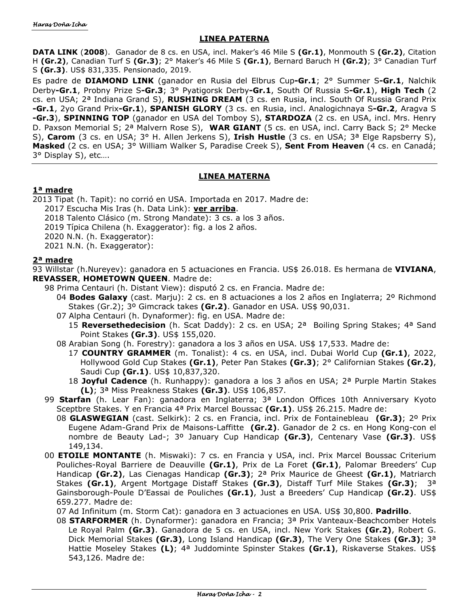#### **LINEA PATERNA**

**DATA LINK** (**2008**). Ganador de 8 cs. en USA, incl. Maker's 46 Mile S **(Gr.1)**, Monmouth S **(Gr.2)**, Citation H **(Gr.2)**, Canadian Turf S **(Gr.3)**; 2° Maker's 46 Mile S **(Gr.1)**, Bernard Baruch H **(Gr.2)**; 3° Canadian Turf S **(Gr.3)**. US\$ 831,335. Pensionado, 2019.

Es padre de **DIAMOND LINK** (ganador en Rusia del Elbrus Cup**-Gr.1**; 2° Summer S**-Gr.1**, Nalchik Derby**-Gr.1**, Probny Prize S**-Gr.3**; 3° Pyatigorsk Derby**-Gr.1**, South Of Russia S**-Gr.1**), **High Tech** (2 cs. en USA; 2ª Indiana Grand S), **RUSHING DREAM** (3 cs. en Rusia, incl. South Of Russia Grand Prix **-Gr.1**, 2yo Grand Prix**-Gr.1**), **SPANISH GLORY** (3 cs. en Rusia, incl. Analogichnaya S**-Gr.2**, Aragva S **-Gr.3**), **SPINNING TOP** (ganador en USA del Tomboy S), **STARDOZA** (2 cs. en USA, incl. Mrs. Henry D. Paxson Memorial S; 2ª Malvern Rose S), **WAR GIANT** (5 cs. en USA, incl. Carry Back S; 2° Mecke S), **Carom** (3 cs. en USA; 3° H. Allen Jerkens S), **Irish Hustle** (3 cs. en USA; 3ª Elge Rapsberry S), **Masked** (2 cs. en USA; 3° William Walker S, Paradise Creek S), **Sent From Heaven** (4 cs. en Canadá; 3° Display S), etc….

## **LINEA MATERNA**

## **1ª madre**

2013 Tipat (h. Tapit): no corrió en USA. Importada en 2017. Madre de:

2017 Escucha Mis Iras (h. Data Link): **ver arriba**.

2018 Talento Clásico (m. Strong Mandate): 3 cs. a los 3 años.

2019 Típica Chilena (h. Exaggerator): fig. a los 2 años.

2020 N.N. (h. Exaggerator):

2021 N.N. (h. Exaggerator):

#### **2ª madre**

93 Willstar (h.Nureyev): ganadora en 5 actuaciones en Francia. US\$ 26.018. Es hermana de **VIVIANA**, **REVASSER**, **HOMETOWN QUEEN**. Madre de:

98 Prima Centauri (h. Distant View): disputó 2 cs. en Francia. Madre de:

- 04 **Bodes Galaxy** (cast. Marju): 2 cs. en 8 actuaciones a los 2 años en Inglaterra; 2º Richmond Stakes (Gr.2); 3º Gimcrack takes **(Gr.2)**. Ganador en USA. US\$ 90,031.
- 07 Alpha Centauri (h. Dynaformer): fig. en USA. Madre de:
	- 15 **Reversethedecision** (h. Scat Daddy): 2 cs. en USA; 2ª Boiling Spring Stakes; 4ª Sand Point Stakes **(Gr.3)**. US\$ 155,020.
- 08 Arabian Song (h. Forestry): ganadora a los 3 años en USA. US\$ 17,533. Madre de:
	- 17 **COUNTRY GRAMMER** (m. Tonalist): 4 cs. en USA, incl. Dubai World Cup **(Gr.1)**, 2022, Hollywood Gold Cup Stakes **(Gr.1)**, Peter Pan Stakes **(Gr.3)**; 2° Californian Stakes **(Gr.2)**, Saudi Cup **(Gr.1)**. US\$ 10,837,320.
	- 18 **Joyful Cadence** (h. Runhappy): ganadora a los 3 años en USA; 2ª Purple Martin Stakes **(L)**; 3ª Miss Preakness Stakes **(Gr.3)**. US\$ 106,857.
- 99 **Starfan** (h. Lear Fan): ganadora en Inglaterra; 3ª London Offices 10th Anniversary Kyoto Sceptbre Stakes. Y en Francia 4ª Prix Marcel Boussac **(Gr.1)**. US\$ 26.215. Madre de:
	- 08 **GLASWEGIAN** (cast. Selkirk): 2 cs. en Francia, incl. Prix de Fontainebleau **(Gr.3)**; 2º Prix Eugene Adam-Grand Prix de Maisons-Laffitte **(Gr.2)**. Ganador de 2 cs. en Hong Kong-con el nombre de Beauty Lad-; 3º January Cup Handicap **(Gr.3)**, Centenary Vase **(Gr.3)**. US\$ 149,134.
- 00 **ETOILE MONTANTE** (h. Miswaki): 7 cs. en Francia y USA, incl. Prix Marcel Boussac Criterium Pouliches-Royal Barriere de Deauville **(Gr.1)**, Prix de La Foret **(Gr.1)**, Palomar Breeders' Cup Handicap **(Gr.2)**, Las Cienagas Handicap **(Gr.3)**; 2ª Prix Maurice de Gheest **(Gr.1)**, Matriarch Stakes **(Gr.1)**, Argent Mortgage Distaff Stakes **(Gr.3)**, Distaff Turf Mile Stakes **(Gr.3)**; 3ª Gainsborough-Poule D'Eassai de Pouliches **(Gr.1)**, Just a Breeders' Cup Handicap **(Gr.2)**. US\$ 659.277. Madre de:

07 Ad Infinitum (m. Storm Cat): ganadora en 3 actuaciones en USA. US\$ 30,800. **Padrillo**.

08 **STARFORMER** (h. Dynaformer): ganadora en Francia; 3ª Prix Vanteaux-Beachcomber Hotels Le Royal Palm **(Gr.3)**. Ganadora de 5 cs. en USA, incl. New York Stakes **(Gr.2)**, Robert G. Dick Memorial Stakes **(Gr.3)**, Long Island Handicap **(Gr.3)**, The Very One Stakes **(Gr.3)**; 3ª Hattie Moseley Stakes **(L)**; 4ª Juddominte Spinster Stakes **(Gr.1)**, Riskaverse Stakes. US\$ 543,126. Madre de: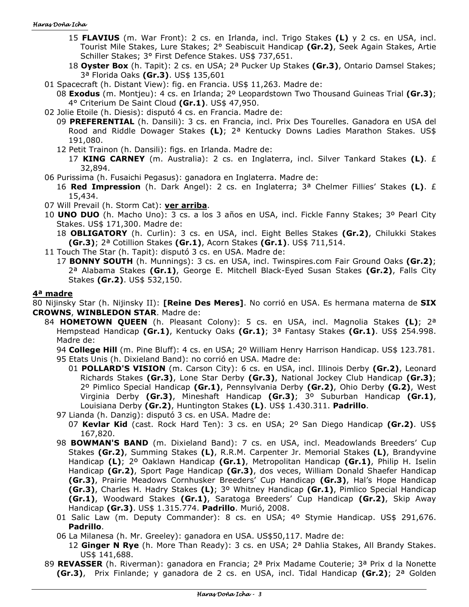#### Haras Doña Icha

- 15 **FLAVIUS** (m. War Front): 2 cs. en Irlanda, incl. Trigo Stakes **(L)** y 2 cs. en USA, incl. Tourist Mile Stakes, Lure Stakes; 2° Seabiscuit Handicap **(Gr.2)**, Seek Again Stakes, Artie Schiller Stakes; 3° First Defence Stakes. US\$ 737,651.
- 18 **Oyster Box** (h. Tapit): 2 cs. en USA; 2ª Pucker Up Stakes **(Gr.3)**, Ontario Damsel Stakes; 3ª Florida Oaks **(Gr.3)**. US\$ 135,601
- 01 Spacecraft (h. Distant View): fig. en Francia. US\$ 11,263. Madre de:
- 08 **Exodus** (m. Montjeu): 4 cs. en Irlanda; 2º Leopardstown Two Thousand Guineas Trial **(Gr.3)**; 4° Criterium De Saint Cloud **(Gr.1)**. US\$ 47,950.
- 02 Jolie Etoile (h. Diesis): disputó 4 cs. en Francia. Madre de:
	- 09 **PREFERENTIAL** (h. Dansili): 3 cs. en Francia, incl. Prix Des Tourelles. Ganadora en USA del Rood and Riddle Dowager Stakes **(L)**; 2ª Kentucky Downs Ladies Marathon Stakes. US\$ 191,080.
	- 12 Petit Trainon (h. Dansili): figs. en Irlanda. Madre de:
		- 17 **KING CARNEY** (m. Australia): 2 cs. en Inglaterra, incl. Silver Tankard Stakes **(L)**. £ 32,894.
- 06 Purissima (h. Fusaichi Pegasus): ganadora en Inglaterra. Madre de:
	- 16 **Red Impression** (h. Dark Angel): 2 cs. en Inglaterra; 3ª Chelmer Fillies' Stakes **(L)**. £ 15,434.
- 07 Will Prevail (h. Storm Cat): **ver arriba**.
- 10 **UNO DUO** (h. Macho Uno): 3 cs. a los 3 años en USA, incl. Fickle Fanny Stakes; 3º Pearl City Stakes. US\$ 171,300. Madre de:
	- 18 **OBLIGATORY** (h. Curlin): 3 cs. en USA, incl. Eight Belles Stakes **(Gr.2)**, Chilukki Stakes **(Gr.3)**; 2ª Cotillion Stakes **(Gr.1)**, Acorn Stakes **(Gr.1)**. US\$ 711,514.
- 11 Touch The Star (h. Tapit): disputó 3 cs. en USA. Madre de:
- 17 **BONNY SOUTH** (h. Munnings): 3 cs. en USA, incl. Twinspires.com Fair Ground Oaks **(Gr.2)**; 2ª Alabama Stakes **(Gr.1)**, George E. Mitchell Black-Eyed Susan Stakes **(Gr.2)**, Falls City Stakes **(Gr.2)**. US\$ 532,150.

#### **4ª madre**

80 Nijinsky Star (h. Nijinsky II): **[Reine Des Meres]**. No corrió en USA. Es hermana materna de **SIX CROWNS**, **WINBLEDON STAR**. Madre de:

84 **HOMETOWN QUEEN** (h. Pleasant Colony): 5 cs. en USA, incl. Magnolia Stakes **(L)**; 2ª Hempstead Handicap **(Gr.1)**, Kentucky Oaks **(Gr.1)**; 3ª Fantasy Stakes **(Gr.1)**. US\$ 254.998. Madre de:

94 **College Hill** (m. Pine Bluff): 4 cs. en USA; 2º William Henry Harrison Handicap. US\$ 123.781. 95 Etats Unis (h. Dixieland Band): no corrió en USA. Madre de:

- 01 **POLLARD'S VISION** (m. Carson City): 6 cs. en USA, incl. Illinois Derby **(Gr.2)**, Leonard Richards Stakes **(Gr.3)**, Lone Star Derby **(Gr.3)**, National Jockey Club Handicap **(Gr.3)**; 2º Pimlico Special Handicap **(Gr.1)**, Pennsylvania Derby **(Gr.2)**, Ohio Derby **(G.2)**, West Virginia Derby **(Gr.3)**, Mineshaft Handicap **(Gr.3)**; 3º Suburban Handicap **(Gr.1)**, Louisiana Derby **(Gr.2)**, Huntington Stakes **(L)**. US\$ 1.430.311. **Padrillo**.
- 97 Lianda (h. Danzig): disputó 3 cs. en USA. Madre de:
	- 07 **Kevlar Kid** (cast. Rock Hard Ten): 3 cs. en USA; 2º San Diego Handicap **(Gr.2)**. US\$ 167,820.
- 98 **BOWMAN'S BAND** (m. Dixieland Band): 7 cs. en USA, incl. Meadowlands Breeders' Cup Stakes **(Gr.2)**, Summing Stakes **(L)**, R.R.M. Carpenter Jr. Memorial Stakes **(L)**, Brandyvine Handicap **(L)**; 2º Oaklawn Handicap **(Gr.1)**, Metropolitan Handicap **(Gr.1)**, Philip H. Iselin Handicap **(Gr.2)**, Sport Page Handicap **(Gr.3)**, dos veces, William Donald Shaefer Handicap **(Gr.3)**, Prairie Meadows Cornhusker Breeders' Cup Handicap **(Gr.3)**, Hal's Hope Handicap **(Gr.3)**, Charles H. Hadry Stakes **(L)**; 3º Whitney Handicap **(Gr.1)**, Pimlico Special Handicap **(Gr.1)**, Woodward Stakes **(Gr.1)**, Saratoga Breeders' Cup Handicap **(Gr.2)**, Skip Away Handicap **(Gr.3)**. US\$ 1.315.774. **Padrillo**. Murió, 2008.
- 01 Salic Law (m. Deputy Commander): 8 cs. en USA; 4º Stymie Handicap. US\$ 291,676. **Padrillo**.
- 06 La Milanesa (h. Mr. Greeley): ganadora en USA. US\$50,117. Madre de:
	- 12 **Ginger N Rye** (h. More Than Ready): 3 cs. en USA; 2ª Dahlia Stakes, All Brandy Stakes. US\$ 141,688.
- 89 **REVASSER** (h. Riverman): ganadora en Francia; 2ª Prix Madame Couterie; 3ª Prix d la Nonette **(Gr.3)**, Prix Finlande; y ganadora de 2 cs. en USA, incl. Tidal Handicap **(Gr.2)**; 2ª Golden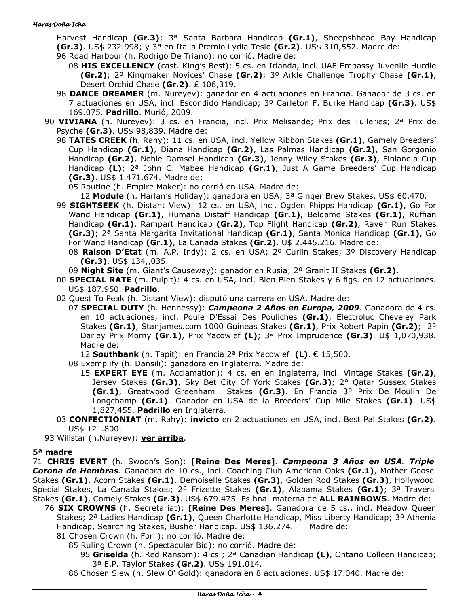Harvest Handicap **(Gr.3)**; 3ª Santa Barbara Handicap **(Gr.1)**, Sheepshhead Bay Handicap **(Gr.3)**. US\$ 232.998; y 3ª en Italia Premio Lydia Tesio **(Gr.2)**. US\$ 310,552. Madre de:

- 96 Road Harbour (h. Rodrigo De Triano): no corrió. Madre de:
	- 08 **HIS EXCELLENCY** (cast. King's Best): 5 cs. en Irlanda, incl. UAE Embassy Juvenile Hurdle **(Gr.2)**; 2º Kingmaker Novices' Chase **(Gr.2)**; 3º Arkle Challenge Trophy Chase **(Gr.1)**, Desert Orchid Chase **(Gr.2)**. £ 106,319.
- 98 **DANCE DREAMER** (m. Nureyev): ganador en 4 actuaciones en Francia. Ganador de 3 cs. en 7 actuaciones en USA, incl. Escondido Handicap; 3º Carleton F. Burke Handicap **(Gr.3)**. US\$ 169.075. **Padrillo**. Murió, 2009.
- 90 **VIVIANA** (h. Nureyev): 3 cs. en Francia, incl. Prix Melisande; Prix des Tuileries; 2ª Prix de Psyche **(Gr.3)**. US\$ 98,839. Madre de:
	- 98 **TATES CREEK** (h. Rahy): 11 cs. en USA, incl. Yellow Ribbon Stakes **(Gr.1)**, Gamely Breeders' Cup Handicap **(Gr.1)**, Diana Handicap **(Gr.2)**, Las Palmas Handicap **(Gr.2)**, San Gorgonio Handicap **(Gr.2)**, Noble Damsel Handicap **(Gr.3)**, Jenny Wiley Stakes **(Gr.3)**, Finlandia Cup Handicap **(L)**; 2ª John C. Mabee Handicap **(Gr.1)**, Just A Game Breeders' Cup Handicap **(Gr.3)**. US\$ 1.471.674. Madre de:

05 Routine (h. Empire Maker): no corrió en USA. Madre de:

12 **Module** (h. Harlan's Holiday): ganadora en USA; 3ª Ginger Brew Stakes. US\$ 60,470.

- 99 **SIGHTSEEK** (h. Distant View): 12 cs. en USA, incl. Ogden Phipps Handicap **(Gr.1)**, Go For Wand Handicap **(Gr.1)**, Humana Distaff Handicap **(Gr.1)**, Beldame Stakes **(Gr.1)**, Ruffian Handicap **(Gr.1)**, Rampart Handicap **(Gr.2)**, Top Flight Handicap **(Gr.2)**, Raven Run Stakes **(Gr.3)**; 2ª Santa Margarita Invitational Handicap **(Gr.1)**, Santa Monica Handicap **(Gr.1)**, Go For Wand Handicap **(Gr.1)**, La Canada Stakes **(Gr.2)**. U\$ 2.445.216. Madre de:
	- 08 **Raison D'Etat** (m. A.P. Indy): 2 cs. en USA; 2º Curlin Stakes; 3º Discovery Handicap **(Gr.3)**. US\$ 134,,035.
	- 09 **Night Site** (m. Giant's Causeway): ganador en Rusia; 2º Granit II Stakes **(Gr.2)**.
- 00 **SPECIAL RATE** (m. Pulpit): 4 cs. en USA, incl. Bien Bien Stakes y 6 figs. en 12 actuaciones. US\$ 187.950. **Padrillo**.
- 02 Quest To Peak (h. Distant View): disputó una carrera en USA. Madre de:
	- 07 **SPECIAL DUTY** (h. Hennessy): *Campeona 2 Años en Europa, 2009*. Ganadora de 4 cs. en 10 actuaciones, incl. Poule D'Essai Des Pouliches **(Gr.1)**, Electroluc Cheveley Park Stakes **(Gr.1)**, Stanjames.com 1000 Guineas Stakes **(Gr.1)**, Prix Robert Papin **(Gr.2)**; 2ª Darley Prix Morny **(Gr.1)**, Prix Yacowlef **(L)**; 3ª Prix Imprudence **(Gr.3)**. U\$ 1,070,938. Madre de:

12 **Southbank** (h. Tapit): en Francia 2ª Prix Yacowlef **(L)**. € 15,500.

- 08 Exemplify (h. Dansili): ganadora en Inglaterra. Madre de:
	- 15 **EXPERT EYE** (m. Acclamation): 4 cs. en en Inglaterra, incl. Vintage Stakes **(Gr.2)**, Jersey Stakes **(Gr.3)**, Sky Bet City Of York Stakes **(Gr.3)**; 2° Qatar Sussex Stakes **(Gr.1)**, Greatwood Greenham Stakes **(Gr.3)**. En Francia 3° Prix De Moulin De Longchamp **(Gr.1)**. Ganador en USA de la Breeders' Cup Mile Stakes **(Gr.1)**. US\$ 1,827,455. **Padrillo** en Inglaterra.
- 03 **CONFECTIONIAT** (m. Rahy): **invicto** en 2 actuaciones en USA, incl. Best Pal Stakes **(Gr.2)**. US\$ 121.800.

93 Willstar (h.Nureyev): **ver arriba**.

#### **5ª madre**

71 **CHRIS EVERT** (h. Swoon's Son): **[Reine Des Meres]**. *Campeona 3 Años en USA. Triple Corona de Hembras.* Ganadora de 10 cs., incl. Coaching Club American Oaks **(Gr.1)**, Mother Goose Stakes **(Gr.1)**, Acorn Stakes **(Gr.1)**, Demoiselle Stakes **(Gr.3)**, Golden Rod Stakes **(Gr.3)**, Hollywood Special Stakes, La Canada Stakes; 2ª Frizette Stakes **(Gr.1)**, Alabama Stakes **(Gr.1)**; 3ª Travers Stakes **(Gr.1)**, Comely Stakes **(Gr.3)**. US\$ 679.475. Es hna. materna de **ALL RAINBOWS**. Madre de:

- 76 **SIX CROWNS** (h. Secretariat): **[Reine Des Meres]**. Ganadora de 5 cs., incl. Meadow Queen Stakes; 2ª Ladies Handicap **(Gr.1)**, Queen Charlotte Handicap, Miss Liberty Handicap; 3ª Athenia Handicap, Searching Stakes, Busher Handicap. US\$ 136.274. Madre de:
	- 81 Chosen Crown (h. Forli): no corrió. Madre de:
		- 85 Ruling Crown (h. Spectacular Bid): no corrió. Madre de:

95 **Griselda** (h. Red Ransom): 4 cs.; 2ª Canadian Handicap **(L)**, Ontario Colleen Handicap; 3ª E.P. Taylor Stakes **(Gr.2)**. US\$ 191.014.

86 Chosen Slew (h. Slew O' Gold): ganadora en 8 actuaciones. US\$ 17.040. Madre de: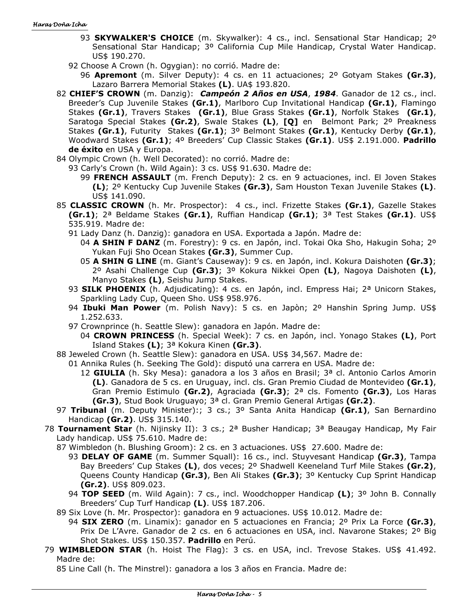- 93 **SKYWALKER'S CHOICE** (m. Skywalker): 4 cs., incl. Sensational Star Handicap; 2<sup>o</sup> Sensational Star Handicap; 3º California Cup Mile Handicap, Crystal Water Handicap. US\$ 190.270.
- 92 Choose A Crown (h. Ogygian): no corrió. Madre de:
	- 96 **Apremont** (m. Silver Deputy): 4 cs. en 11 actuaciones; 2º Gotyam Stakes **(Gr.3)**, Lazaro Barrera Memorial Stakes **(L)**. UA\$ 193.820.
- 82 **CHIEF'S CROWN** (m. Danzig): *Campeón 2 Años en USA*, *1984*. Ganador de 12 cs., incl. Breeder's Cup Juvenile Stakes **(Gr.1)**, Marlboro Cup Invitational Handicap **(Gr.1)**, Flamingo Stakes **(Gr.1)**, Travers Stakes **(Gr.1)**, Blue Grass Stakes **(Gr.1)**, Norfolk Stakes **(Gr.1)**, Saratoga Special Stakes **(Gr.2)**, Swale Stakes **(L)**, **[Q]** en Belmont Park; 2º Preakness Stakes **(Gr.1)**, Futurity Stakes **(Gr.1)**; 3º Belmont Stakes **(Gr.1)**, Kentucky Derby **(Gr.1)**, Woodward Stakes **(Gr.1)**; 4º Breeders' Cup Classic Stakes **(Gr.1)**. US\$ 2.191.000. **Padrillo de éxito** en USA y Europa.
- 84 Olympic Crown (h. Well Decorated): no corrió. Madre de:
	- 93 Carly's Crown (h. Wild Again): 3 cs. US\$ 91.630. Madre de:
		- 99 **FRENCH ASSAULT** (m. French Deputy): 2 cs. en 9 actuaciones, incl. El Joven Stakes **(L)**; 2º Kentucky Cup Juvenile Stakes **(Gr.3)**, Sam Houston Texan Juvenile Stakes **(L)**. US\$ 141.090.
- 85 **CLASSIC CROWN** (h. Mr. Prospector): 4 cs., incl. Frizette Stakes **(Gr.1)**, Gazelle Stakes **(Gr.1)**; 2ª Beldame Stakes **(Gr.1)**, Ruffian Handicap **(Gr.1)**; 3ª Test Stakes **(Gr.1)**. US\$ 535.919. Madre de:
	- 91 Lady Danz (h. Danzig): ganadora en USA. Exportada a Japón. Madre de:
		- 04 **A SHIN F DANZ** (m. Forestry): 9 cs. en Japón, incl. Tokai Oka Sho, Hakugin Soha; 2º Yukan Fuji Sho Ocean Stakes **(Gr.3)**, Summer Cup.
		- 05 **A SHIN G LINE** (m. Giant's Causeway): 9 cs. en Japón, incl. Kokura Daishoten **(Gr.3)**; 2º Asahi Challenge Cup **(Gr.3)**; 3º Kokura Nikkei Open **(L)**, Nagoya Daishoten **(L)**, Manyo Stakes **(L)**, Seishu Jump Stakes.
	- 93 **SILK PHOENIX** (h. Adjudicating): 4 cs. en Japón, incl. Empress Hai; 2ª Unicorn Stakes, Sparkling Lady Cup, Queen Sho. US\$ 958.976.
	- 94 **Ibuki Man Power** (m. Polish Navy): 5 cs. en Japòn; 2º Hanshin Spring Jump. US\$ 1.252.633.
	- 97 Crownprince (h. Seattle Slew): ganadora en Japón. Madre de:
		- 04 **CROWN PRINCESS** (h. Special Week): 7 cs. en Japón, incl. Yonago Stakes **(L)**, Port Island Stakes **(L)**; 3ª Kokura Kinen **(Gr.3)**.
- 88 Jeweled Crown (h. Seattle Slew): ganadora en USA. US\$ 34,567. Madre de:
	- 01 Annika Rules (h. Seeking The Gold): disputó una carrera en USA. Madre de:
		- 12 **GIULIA** (h. Sky Mesa): ganadora a los 3 años en Brasil; 3ª cl. Antonio Carlos Amorin **(L)**. Ganadora de 5 cs. en Uruguay, incl. cls. Gran Premio Ciudad de Montevideo **(Gr.1)**, Gran Premio Estimulo **(Gr.2)**, Agraciada **(Gr.3)**; 2ª cls. Fomento **(Gr.3)**, Los Haras **(Gr.3)**, Stud Book Uruguayo; 3ª cl. Gran Premio General Artigas **(Gr.2)**.
- 97 **Tribunal** (m. Deputy Minister):; 3 cs.; 3º Santa Anita Handicap **(Gr.1)**, San Bernardino Handicap **(Gr.2)**. US\$ 315.140.
- 78 **Tournament Star** (h. Nijinsky II): 3 cs.; 2ª Busher Handicap; 3ª Beaugay Handicap, My Fair Lady handicap. US\$ 75.610. Madre de:
	- 87 Wimbledon (h. Blushing Groom): 2 cs. en 3 actuaciones. US\$ 27.600. Madre de:
		- 93 **DELAY OF GAME** (m. Summer Squall): 16 cs., incl. Stuyvesant Handicap **(Gr.3)**, Tampa Bay Breeders' Cup Stakes **(L)**, dos veces; 2º Shadwell Keeneland Turf Mile Stakes **(Gr.2)**, Queens County Handicap **(Gr.3)**, Ben Ali Stakes **(Gr.3)**; 3º Kentucky Cup Sprint Handicap **(Gr.2)**. US\$ 809.023.
		- 94 **TOP SEED** (m. Wild Again): 7 cs., incl. Woodchopper Handicap **(L)**; 3º John B. Connally Breeders' Cup Turf Handicap **(L)**. US\$ 187.206.
	- 89 Six Love (h. Mr. Prospector): ganadora en 9 actuaciones. US\$ 10.012. Madre de:
		- 94 **SIX ZERO** (m. Linamix): ganador en 5 actuaciones en Francia; 2º Prix La Force **(Gr.3)**, Prix De L'Avre. Ganador de 2 cs. en 6 actuaciones en USA, incl. Navarone Stakes; 2º Big Shot Stakes. US\$ 150.357. **Padrillo** en Perú.
- 79 **WIMBLEDON STAR** (h. Hoist The Flag): 3 cs. en USA, incl. Trevose Stakes. US\$ 41.492. Madre de:

85 Line Call (h. The Minstrel): ganadora a los 3 años en Francia. Madre de: